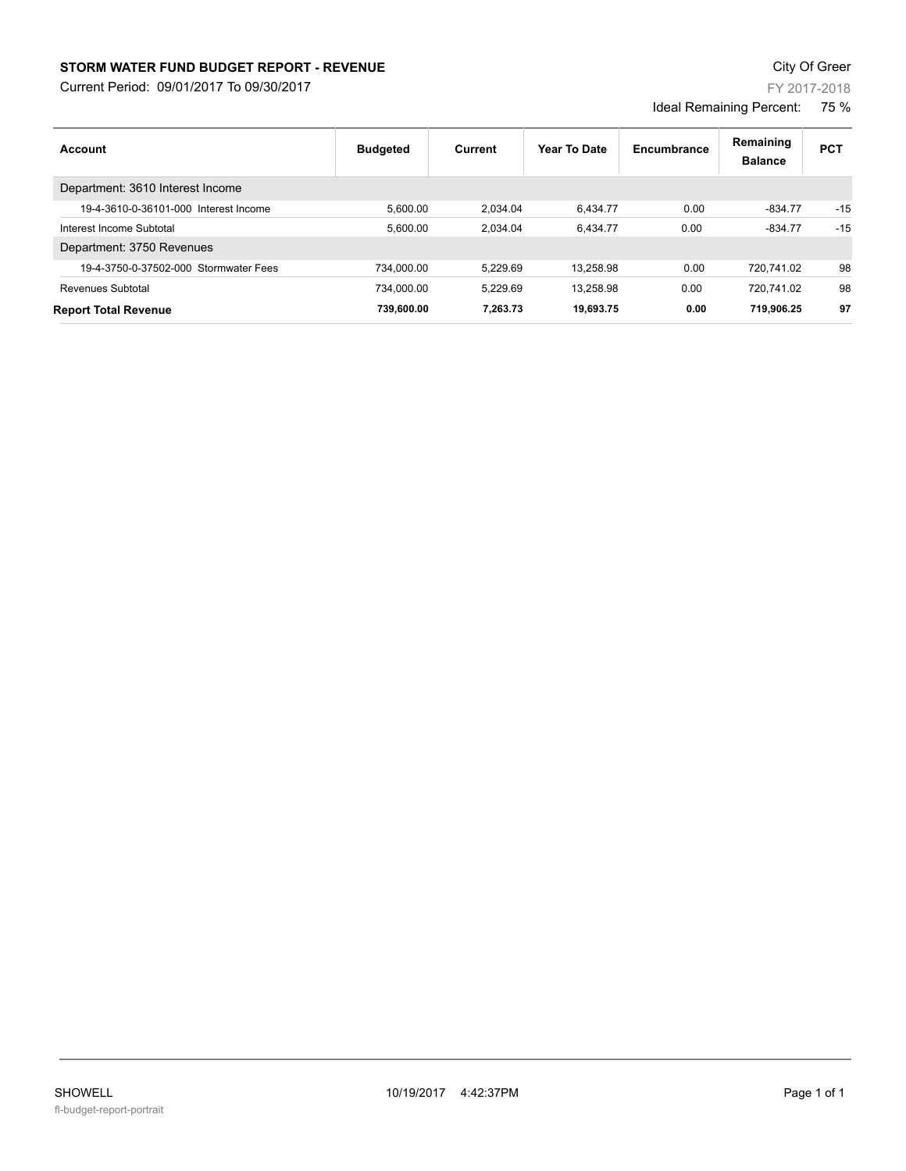## **STORM WATER FUND BUDGET REPORT - REVENUE CONTEXT AND REPORT ASSESSMENT OF A STORM WATER FUND BUDGET REPORT - REVENUE**

Current Period: 09/01/2017 To 09/30/2017

| Account                               | <b>Budgeted</b> | Current  | Year To Date | Encumbrance | Remaining<br><b>Balance</b> | <b>PCT</b> |
|---------------------------------------|-----------------|----------|--------------|-------------|-----------------------------|------------|
| Department: 3610 Interest Income      |                 |          |              |             |                             |            |
| 19-4-3610-0-36101-000 Interest Income | 5.600.00        | 2.034.04 | 6.434.77     | 0.00        | $-834.77$                   | $-15$      |
| Interest Income Subtotal              | 5.600.00        | 2.034.04 | 6.434.77     | 0.00        | $-834.77$                   | $-15$      |
| Department: 3750 Revenues             |                 |          |              |             |                             |            |
| 19-4-3750-0-37502-000 Stormwater Fees | 734.000.00      | 5.229.69 | 13.258.98    | 0.00        | 720.741.02                  | 98         |
| Revenues Subtotal                     | 734.000.00      | 5.229.69 | 13.258.98    | 0.00        | 720.741.02                  | 98         |
| <b>Report Total Revenue</b>           | 739.600.00      | 7.263.73 | 19.693.75    | 0.00        | 719.906.25                  | 97         |

FY 2017-2018

Ideal Remaining Percent: 75 %